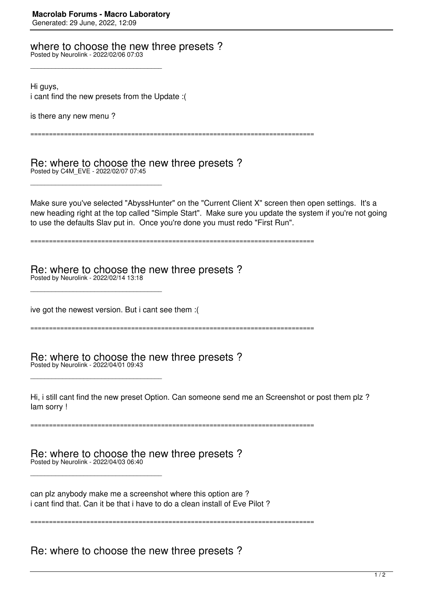where to choose the new three presets ?

Posted by Neurolink - 2022/02/06 07:03

\_\_\_\_\_\_\_\_\_\_\_\_\_\_\_\_\_\_\_\_\_\_\_\_\_\_\_\_\_\_\_\_\_\_\_\_\_

\_\_\_\_\_\_\_\_\_\_\_\_\_\_\_\_\_\_\_\_\_\_\_\_\_\_\_\_\_\_\_\_\_\_\_\_\_

Hi guys,

i cant find the new presets from the Update :(

is there any new menu ?

============================================================================

Re: where to choose the new three presets ? Posted by C4M\_EVE - 2022/02/07 07:45

Make sure you've selected "AbyssHunter" on the "Current Client X" screen then open settings. It's a new heading right at the top called "Simple Start". Make sure you update the system if you're not going to use the defaults Slav put in. Once you're done you must redo "First Run".

============================================================================

Re: where to choose the new three presets ? Posted by Neurolink - 2022/02/14 13:18

\_\_\_\_\_\_\_\_\_\_\_\_\_\_\_\_\_\_\_\_\_\_\_\_\_\_\_\_\_\_\_\_\_\_\_\_\_

ive got the newest version. But i cant see them :(

============================================================================

Re: where to choose the new three presets ? Posted by Neurolink - 2022/04/01 09:43

\_\_\_\_\_\_\_\_\_\_\_\_\_\_\_\_\_\_\_\_\_\_\_\_\_\_\_\_\_\_\_\_\_\_\_\_\_

\_\_\_\_\_\_\_\_\_\_\_\_\_\_\_\_\_\_\_\_\_\_\_\_\_\_\_\_\_\_\_\_\_\_\_\_\_

Hi, i still cant find the new preset Option. Can someone send me an Screenshot or post them plz ? Iam sorry !

============================================================================

Re: where to choose the new three presets ? Posted by Neurolink - 2022/04/03 06:40

can plz anybody make me a screenshot where this option are ? i cant find that. Can it be that i have to do a clean install of Eve Pilot ?

============================================================================

Re: where to choose the new three presets ?